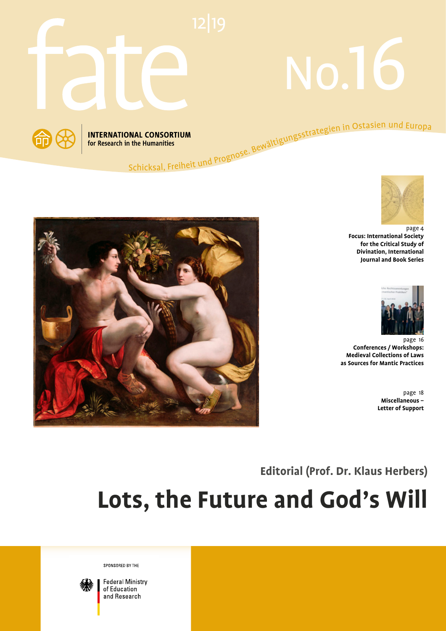

# No.16







page 4 **Focus: International Society for the Critical Study of Divination, International Journal and Book Series**



page 16 **Conferences / Workshops: Medieval Collections of Laws as Sources for Mantic Practices**

> page 18 **Miscellaneous – Letter of Support**

**Editorial (Prof. Dr. Klaus Herbers)**

# **Lots, the Future and God's Will**

SPONSORED BY THE



**Federal Ministry** of Education and Research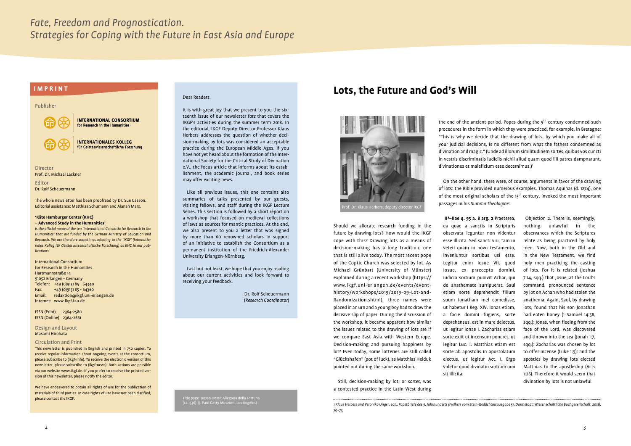#### Publisher

**INTERNATIONAL CONSORTIUM** for Research in the Humanities **INTERNATIONALES KOLLEG** für Geisteswissenschaftliche Forschung

Director Prof. Dr. Michael Lackner

Editor Dr. Rolf Scheuermann

The whole newsletter has been proofread by Dr. Sue Casson. Editorial assistance: Matthias Schumann and Alanah Marx.

#### **'Käte Hamburger Center (KHC) – Advanced Study in the Humanities'**

*is the official name of the ten 'International Consortia for Research in the Humanities' that are funded by the German Ministry of Education and Research. We are therefore sometimes referring to the 'IKGF' (Internationales Kolleg für Geisteswissenschaftliche Forschung) as KHC in our publications.*

International Consortium for Research in the Humanities Hartmannstraße 14 91052 Erlangen - Germany Telefon: +49 (0)9131 85 - 64340 Fax:  $+49(0)913185 - 64360$ Email: redaktion@ikgf.uni-erlangen.de Internet: www.ikgf.fau.de

ISSN (Print) 2364-2580 ISSN (Online) 2364-2661

Design and Layout Masami Hirohata

#### Circulation and Print

This newsletter is published in English and printed in 750 copies. To receive regular information about ongoing events at the consortium, please subscribe to (ikgf-info). To receive the electronic version of this newsletter, please subscribe to (ikgf-news). Both actions are possible via our website www.ikgf.de. If you prefer to receive the printed version of this newsletter, please notify the editor.

We have endeavored to obtain all rights of use for the publication of materials of third parties. In case rights of use have not been clarified, please contact the IKGF.

#### Dear Readers,

It is with great joy that we present to you the sixteenth issue of our newsletter *fate* that covers the IKGF's activities during the summer term 2018. In the editorial, IKGF Deputy Director Professor Klaus Herbers addresses the question of whether decision-making by lots was considered an acceptable practice during the European Middle Ages. If you have not yet heard about the formation of the International Society for the Critical Study of Divination e.V., the focus article that informs about its establishment, the academic journal, and book series may offer exciting news.

Like all previous issues, this one contains also summaries of talks presented by our guests, visiting fellows, and staff during the IKGF Lecture Series. This section is followed by a short report on a workshop that focused on medieval collections of laws as sources for mantic practices. At the end, we also present to you a letter that was signed by more than 60 renowned scholars in support of an initiative to establish the Consortium as a permanent institution of the Friedrich-Alexander University Erlangen-Nürnberg.

Last but not least, we hope that you enjoy reading about our current activities and look forward to receiving your feedback.

> Dr. Rolf Scheuermann (*Research Coordinator*)

On the other hand, there were, of course, arguments in favor of the drawing of lots: the Bible provided numerous examples. Thomas Aquinas (d. 1274), one of the most original scholars of the  $13<sup>th</sup>$  century, invoked the most important passages in his *Summa Theologiae*:

Should we allocate research funding in the future by drawing lots? How would the IKGF cope with this? Drawing lots as a means of decision-making has a long tradition, one that is still alive today. The most recent pope of the Coptic Church was selected by lot. As Michael Grünbart (University of Münster) explained during a recent workshop (https:// www.ikgf.uni-erlangen.de/events/eventhistory/workshops/2019/2019-09-Lot-and-Randomization.shtml), three names were placed in an urn and a young boy had to draw the decisive slip of paper. During the discussion of the workshop, it became apparent how similar the issues related to the drawing of lots are if we compare East Asia with Western Europe. Decision-making and pursuing happiness by lot? Even today, some lotteries are still called "Glückshafen" (pot of luck), as Matthias Heiduk pointed out during the same workshop.

the end of the ancient period. Popes during the  $9<sup>th</sup>$  century condemned such procedures in the form in which they were practiced, for example, in Bretagne: "This is why we decide that the drawing of lots, by which you make all of your judicial decisions, is no different from what the fathers condemned as divination and magic." (Unde ad illorum similitudinem sortes, quibus vos cuncti in vestris discriminatis iudiciis nichil aliud quam quod illi patres dampnarunt, divinationes et maleficium esse decernimus. $I^1$ 

Still, decision-making by lot, or *sortes*, was a contested practice in the Latin West during

Title page: Dosso Dossi: Allegoria della Fortuna (ca.1536) (J. Paul Getty Museum, Los Angeles)

# **LOTS, the Future and God's Will All According to the Europe of the Future and God's Will**



 Objection 2. There is, seemingly, nothing unlawful in the observances which the Scriptures relate as being practiced by holy men. Now, both in the Old and in the New Testament, we find holy men practicing the casting of lots. For it is related (Joshua 7:14, sqq.) that Josue, at the Lord's command, pronounced sentence by lot on Achan who had stolen the anathema. Again, Saul, by drawing lots, found that his son Jonathan had eaten honey (1 Samuel 14:58, sqq.): Jonas, when fleeing from the face of the Lord, was discovered and thrown into the sea (Jonah 1:7, sqq.): Zacharias was chosen by lot to offer incense (Luke 1:9): and the apostles by drawing lots elected Matthias to the apostleship (Acts 1:26). Therefore it would seem that divination by lots is not unlawful.

 **IIª–IIae q. 95 a. 8 arg. 2** Praeterea, ea quae a sanctis in Scripturis observata leguntur non videntur esse illicita. Sed sancti viri, tam in veteri quam in novo testamento, inveniuntur sortibus usi esse. Legitur enim Iosue VII, quod Iosue, ex praecepto domini, iudicio sortium punivit Achar, qui de anathemate surripuerat. Saul etiam sorte deprehendit filium suum Ionatham mel comedisse, ut habetur I Reg. XIV. Ionas etiam, a facie domini fugiens, sorte deprehensus, est in mare deiectus, ut legitur Ionae I. Zacharias etiam sorte exiit ut incensum poneret, ut legitur Luc. I. Matthias etiam est sorte ab apostolis in apostolatum electus, ut legitur Act. I. Ergo videtur quod divinatio sortium non sit illicita.

*<sup>1</sup> Klaus Herbers and Veronika Unger, eds., Papstbriefe des 9. Jahrhunderts (Freiherr vom Stein-Gedächtnisausgabe 51, Darmstadt: Wissenschaftliche Buchgesellschaft, 2018), 70–73.*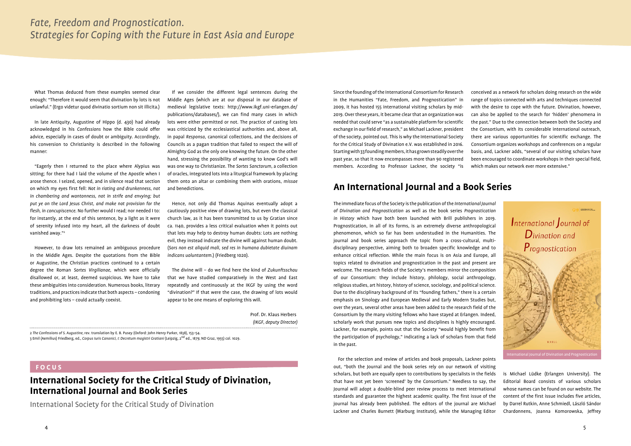What Thomas deduced from these examples seemed clear enough: "Therefore it would seem that divination by lots is not unlawful." (Ergo videtur quod divinatio sortium non sit illicita.)

In late Antiquity, Augustine of Hippo (d. 430) had already acknowledged in his *Confessions* how the Bible could offer advice, especially in cases of doubt or ambiguity. Accordingly, his conversion to Christianity is described in the following manner:

"Eagerly then I returned to the place where Alypius was sitting; for there had I laid the volume of the Apostle when I arose thence. I seized, opened, and in silence read that section on which my eyes first fell: *Not in rioting and drunkenness, not in chambering and wantonness, not in strife and envying; but put ye on the Lord Jesus Christ, and make not provision for the flesh, in concupiscence.* No further would I read; nor needed I to: for instantly, at the end of this sentence, by a light as it were of serenity infused into my heart, all the darkness of doubt vanished away."2

However, to draw lots remained an ambiguous procedure in the Middle Ages. Despite the quotations from the Bible or Augustine, the Christian practices continued to a certain degree the Roman *Sortes Virgilianae*, which were officially disallowed or, at least, deemed suspicious. We have to take these ambiguities into consideration. Numerous books, literary traditions, and practices indicate that both aspects – condoning and prohibiting lots – could actually coexist.

If we consider the different legal sentences during the Middle Ages (which are at our disposal in our database of medieval legislative texts: http://www.ikgf.uni-erlangen.de/ publications/databases/), we can find many cases in which lots were either permitted or not. The practice of casting lots was criticized by the ecclesiastical authorities and, above all, in papal *Responsa*, canonical collections, and the decisions of Councils as a pagan tradition that failed to respect the will of Almighty God as the only one knowing the future. On the other hand, stressing the possibility of wanting to know God's will was one way to Christianize. The *Sortes Sanctorum*, a collection of oracles, integrated lots into a liturgical framework by placing them onto an altar or combining them with orations, *missae* and benedictions.

Hence, not only did Thomas Aquinas eventually adopt a cautiously positive view of drawing lots, but even the classical church law, as it has been transmitted to us by Gratian since ca. 1140, provides a less critical evaluation when it points out that lots may help to destroy human doubts: Lots are nothing evil, they instead indicate the divine will against human doubt. (*Sors non est aliquid mali, sed res in humana dubietate diuinam indicans uoluntantem*.) (Friedberg 1020).

The divine will – do we find here the kind of *Zukunftsschau* that we have studied comparatively in the West and East repeatedly and continuously at the IKGF by using the word "divination?" If that were the case, the drawing of lots would appear to be one means of exploring this will.

> Prof. Dr. Klaus Herbers *(IKGF, deputy Director)*

#### **FOCUS**

## **International Society for the Critical Study of Divination, International Journal and Book Series**

International Society for the Critical Study of Divination

Since the founding of the International Consortium for Research in the Humanities "Fate, Freedom, and Prognostication" in 2009, it has hosted 155 international visiting scholars by mid-2019. Over these years, it became clear that an organization was needed that could serve "as a sustainable platform for scientific exchange in our field of research," as Michael Lackner, president of the society, pointed out. This is why the International Society for the Critical Study of Divination e.V. was established in 2016. Starting with 33 founding members, it has grown steadily over the past year, so that it now encompasses more than 90 registered members. According to Professor Lackner, the society "is conceived as a network for scholars doing research on the wide range of topics connected with arts and techniques connected with the desire to cope with the future. Divination, however, can also be applied to the search for 'hidden' phenomena in the past." Due to the connection between both the Society and the Consortium, with its considerable international outreach, there are various opportunities for scientific exchange. The Consortium organizes workshops and conferences on a regular basis, and, Lackner adds, "several of our visiting scholars have been encouraged to coordinate workshops in their special field, which makes our network ever more extensive."

# **An International Journal and a Book Series**

The immediate focus of the Society is the publication of the *International Journal of Divination and Prognostication* as well as the book series *Prognostication in History* which have both been launched with Brill publishers in 2019. Prognostication, in all of its forms, is an extremely diverse anthropological phenomenon, which so far has been understudied in the Humanities. The journal and book series approach the topic from a cross-cultural, multidisciplinary perspective, aiming both to broaden specific knowledge and to enhance critical reflection. While the main focus is on Asia and Europe, all topics related to divination and prognostication in the past and present are welcome. The research fields of the Society's members mirror the composition of our Consortium: they include history, philology, social anthropology, religious studies, art history, history of science, sociology, and political science. Due to the disciplinary background of its "founding fathers," there is a certain emphasis on Sinology and European Medieval and Early Modern Studies but, over the years, several other areas have been added to the research field of the Consortium by the many visiting fellows who have stayed at Erlangen. Indeed, scholarly work that pursues new topics and disciplines is highly encouraged. Lackner, for example, points out that the Society "would highly benefit from the participation of psychology," indicating a lack of scholars from that field in the past.

For the selection and review of articles and book proposals, Lackner points out, "both the Journal and the book series rely on our network of visiting scholars, but both are equally open to contributions by specialists in the fields that have not yet been 'screened' by the Consortium." Needless to say, the Journal will adopt a double-blind peer review process to meet international standards and guarantee the highest academic quality. The first issue of the journal has already been published. The editors of the journal are Michael Lackner and Charles Burnett (Warburg Institute), while the Managing Editor

is Michael Lüdke (Erlangen University). The Editorial Board consists of various scholars whose names can be found on our website. The content of the first issue includes five articles, by Darrel Rutkin, Anne Schmiedl, László Sándor Chardonnens, Joanna Komorowska, Jeffrey

2 *The Confessions of S. Augustine,* rev. translation by E. B. Pusey (Oxford: John Henry Parker, 1838), 153–54. 3 Emil (Aemilius) Friedberg, ed., *Corpus Iuris Canonici, I: Decretum magistri Gratiani* (Leipzig, 2nd ed., 1879; ND Graz, 1955) col. 1029.

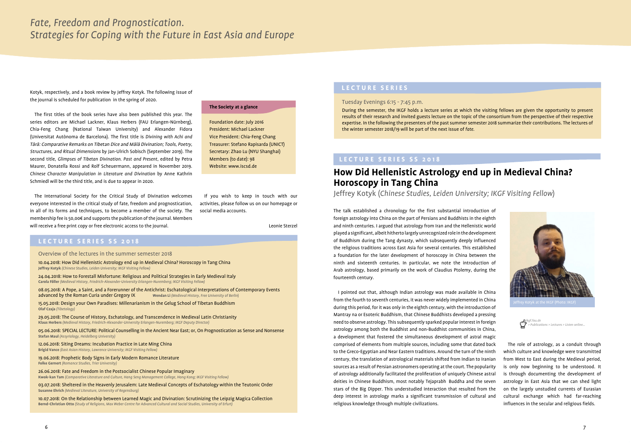#### **LECTURE SERIES SS 2018**

Overview of the lectures in the summer semester 2018

10.04.2018: How Did Hellenistic Astrology end up in Medieval China? Horoscopy in Tang China **Jeffrey Kotyk** *(Chinese Studies, Leiden University; IKGF Visiting Fellow)*

24.04.2018: How to Forestall Misfortune: Religious and Political Strategies in Early Medieval Italy **Carola Föller** *(Medieval History, Friedrich-Alexander-University Erlangen-Nuremberg; IKGF Visiting Fellow)*

08.05.2018: A Pope, a Saint, and a Forerunner of the Antichrist: Eschatological Interpretations of Contemporary Events advanced by the Roman Curia under Gregory IX **Wendan Li** *(Medieval History, Free University of Berlin*)

15.05.2018: Design your Own Paradises: Millenarianism in the Gelug School of Tibetan Buddhism **Olaf Czaja** *(Tibetology)*

29.05.2018: The Course of History, Eschatology, and Transcendence in Medieval Latin Christianity **Klaus Herbers** *(Medieval History, Friedrich-Alexander-University Erlangen-Nuremberg; IKGF Deputy Director)*

05.06.2018: SPECIAL LECTURE: Political Counselling in the Ancient Near East; or, On Prognostication as Sense and Nonsense **Stefan Maul** *(Assyriology, Heidelberg University)*

12.06.2018: Siting Dreams: Incubation Practice in Late Ming China **Brigid Vance** *(East Asian History, Lawrence University; IKGF Visiting Fellow)*

19.06.2018: Prophetic Body Signs in Early Modern Romance Literature **Folke Gernert** *(Romance Studies, Trier University)*

26.06.2018: Fate and Freedom in the Postsocialist Chinese Popular Imaginary **Kwok-kan Tam** *(Comparative Literature and Culture, Hang Seng Management College, Hong Kong; IKGF Visiting Fellow)*

03.07.2018: Sheltered in the Heavenly Jerusalem: Late Medieval Concepts of Eschatology within the Teutonic Order **Susanne Ehrich** *(Medieval Literature, University of Regensburg)*

10.07.2018: On the Relationship between Learned Magic and Divination: Scrutinizing the Leipzig Magica Collection **Bernd-Christian Otto** *(Study of Religions, Max Weber Centre for Advanced Cultural and Social Studies, University of Erfurt)*

#### **LECTURE SERIES SS 2018**

## **How Did Hellenistic Astrology end up in Medieval China? Horoscopy in Tang China**

Jeffrey Kotyk (*Chinese Studies, Leiden University; IKGF Visiting Fellow*)

**L E C T U R E S E R I E S**<br>Kotyk, respectively, and a book review by Jeffrey Kotyk. The following issue of the journal is scheduled for publication in the spring of 2020.

> The talk established a chronology for the first substantial introduction of foreign astrology into China on the part of Persians and Buddhists in the eighth and ninth centuries. I argued that astrology from Iran and the Hellenistic world played a significant, albeit hitherto largely unrecognized role in the development of Buddhism during the Tang dynasty, which subsequently deeply influenced the religious traditions across East Asia for several centuries. This established a foundation for the later development of horoscopy in China between the ninth and sixteenth centuries. In particular, we note the introduction of Arab astrology, based primarily on the work of Claudius Ptolemy, during the fourteenth century.

> I pointed out that, although Indian astrology was made available in China from the fourth to seventh centuries, it was never widely implemented in China during this period, for it was only in the eighth century, with the introduction of Mantray na or Esoteric Buddhism, that Chinese Buddhists developed a pressing need to observe astrology. This subsequently sparked popular interest in foreign astrology among both the Buddhist and non-Buddhist communities in China, a development that fostered the simultaneous development of astral magic comprised of elements from multiple sources, including some that dated back to the Greco-Egyptian and Near Eastern traditions. Around the turn of the ninth century, the translation of astrological materials shifted from Indian to Iranian sources as a result of Persian astronomers operating at the court. The popularity of astrology additionally facilitated the proliferation of uniquely Chinese astral deities in Chinese Buddhism, most notably Tejaprabh Buddha and the seven stars of the Big Dipper. This understudied interaction that resulted from the deep interest in astrology marks a significant transmission of cultural and religious knowledge through multiple civilizations.



Tuesday Evenings 6:15 - 7:45 p.m.

During the semester, the IKGF holds a lecture series at which the visiting fellows are given the opportunity to present results of their research and invited guests lecture on the topic of the consortium from the perspective of their respective expertise. In the following the presenters of the past summer semester 2018 summarize their contributions. The lectures of the winter semester 2018/19 will be part of the next issue of *fate*.

The first titles of the book series have also been published this year. The series editors are Michael Lackner, Klaus Herbers (FAU Erlangen-Nürnberg), Chia-Feng Chang (National Taiwan University) and Alexander Fidora (Universitat Autònoma de Barcelona). The first title is *Divining with Achi and* <sup>T</sup>ārā: Comparative Remarks on Tibetan Dice and Mālā Divination; Tools, Poetry, Structures, and Ritual Dimensions by Jan-Ulrich Sobisch (September 2019). The second title, *Glimpses of Tibetan Divination. Past and Present*, edited by Petra Maurer, Donatella Rossi and Rolf Scheuermann, appeared in November 2019. *Chinese Character Manipulation in Literature and Divination* by Anne Kathrin Schmiedl will be the third title, and is due to appear in 2020.

The International Society for the Critical Study of Divination welcomes everyone interested in the critical study of fate, freedom and prognostication, in all of its forms and techniques, to become a member of the society. The membership fee is 50,00€ and supports the publication of the journal. Members will receive a free print copy or free electronic access to the journal.

> The role of astrology, as a conduit through which culture and knowledge were transmitted from West to East during the Medieval period, is only now beginning to be understood. It is through documenting the development of astrology in East Asia that we can shed light on the largely unstudied currents of Eurasian cultural exchange which had far-reaching influences in the secular and religious fields.

*ikgf.fau.de > Publications > Lectures > Listen online…*

#### **The Society at a glance**

Foundation date: July 2016 President: Michael Lackner Vice President: Chia-Feng Chang Treasurer: Stefano Rapisarda (UNICT) Secretary: Zhao Lu (NYU Shanghai) Members (to date): 98 Website: www.iscsd.de

If you wish to keep in touch with our activities, please follow us on our homepage or social media accounts.

Leonie Sterzel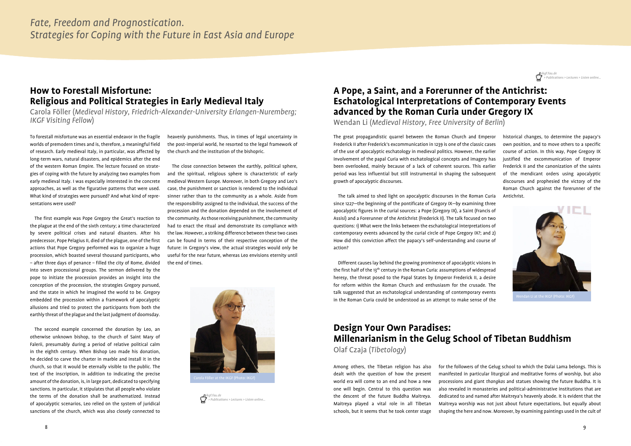# **How to Forestall Misfortune: Religious and Political Strategies in Early Medieval Italy**

Carola Föller (*Medieval History, Friedrich-Alexander-University Erlangen-Nuremberg; IKGF Visiting Fellow*)

To forestall misfortune was an essential endeavor in the fragile worlds of premodern times and is, therefore, a meaningful field of research. Early medieval Italy, in particular, was affected by long-term wars, natural disasters, and epidemics after the end of the western Roman Empire. The lecture focused on strategies of coping with the future by analyzing two examples from early medieval Italy. I was especially interested in the concrete approaches, as well as the figurative patterns that were used. What kind of strategies were pursued? And what kind of representations were used?

The first example was Pope Gregory the Great's reaction to the plague at the end of the sixth century; a time characterized by severe political crises and natural disasters. After his predecessor, Pope Pelagius II, died of the plague, one of the first actions that Pope Gregory performed was to organize a huge procession, which boasted several thousand participants, who – after three days of penance – filled the city of Rome, divided into seven processional groups. The sermon delivered by the pope to initiate the procession provides an insight into the conception of the procession, the strategies Gregory pursued, and the state in which he imagined the world to be. Gregory embedded the procession within a framework of apocalyptic allusions and tried to protect the participants from both the earthly threat of the plague and the last judgment of doomsday.

The second example concerned the donation by Leo, an otherwise unknown bishop, to the church of Saint Mary of Falerii, presumably during a period of relative political calm in the eighth century. When Bishop Leo made his donation, he decided to carve the charter in marble and install it in the church, so that it would be eternally visible to the public. The text of the inscription, in addition to indicating the precise amount of the donation, is, in large part, dedicated to specifying sanctions. In particular, it stipulates that all people who violate the terms of the donation shall be anathematized. Instead of apocalyptic scenarios, Leo relied on the system of juridical sanctions of the church, which was also closely connected to

heavenly punishments. Thus, in times of legal uncertainty in the post-imperial world, he resorted to the legal framework of the church and the institution of the bishopric.

The close connection between the earthly, political sphere, and the spiritual, religious sphere is characteristic of early medieval Western Europe. Moreover, in both Gregory and Leo's case, the punishment or sanction is rendered to the individual sinner rather than to the community as a whole. Aside from the responsibility assigned to the individual, the success of the procession and the donation depended on the involvement of the community. As those receiving punishment, the community had to enact the ritual and demonstrate its compliance with the law. However, a striking difference between these two cases can be found in terms of their respective conception of the future: in Gregory's view, the actual strategies would only be useful for the near future, whereas Leo envisions eternity until the end of times.



# **A Pope, a Saint, and a Forerunner of the Antichrist: Eschatological Interpretations of Contemporary Events advanced by the Roman Curia under Gregory IX**

Wendan Li (*Medieval History, Free University of Berlin*)

The great propagandistic quarrel between the Roman Church and Emperor Frederick II after Frederick's excommunication in 1239 is one of the classic cases of the use of apocalyptic eschatology in medieval politics. However, the earlier involvement of the papal Curia with eschatological concepts and imagery has been overlooked, mainly because of a lack of coherent sources. This earlier period was less influential but still instrumental in shaping the subsequent growth of apocalyptic discourses.

The talk aimed to shed light on apocalyptic discourses in the Roman Curia since 1227—the beginning of the pontificate of Gregory IX—by examining three apocalyptic figures in the curial sources: a Pope (Gregory IX), a Saint (Francis of Assisi) and a Forerunner of the Antichrist (Frederick II). The talk focused on two questions: 1) What were the links between the eschatological interpretations of contemporary events advanced by the curial circle of Pope Gregory IX?; and 2) How did this conviction affect the papacy's self-understanding and course of action?

Different causes lay behind the growing prominence of apocalyptic visions in the first half of the 13<sup>th</sup> century in the Roman Curia: assumptions of widespread heresy, the threat posed to the Papal States by Emperor Frederick II, a desire for reform within the Roman Church and enthusiasm for the crusade. The talk suggested that an eschatological understanding of contemporary events in the Roman Curia could be understood as an attempt to make sense of the historical changes, to determine the papacy's own position, and to move others to a specific course of action. In this way, Pope Gregory IX justified the excommunication of Emperor Frederick II and the canonization of the saints of the mendicant orders using apocalyptic discourses and prophesied the victory of the Roman Church against the forerunner of the Antichrist.







# **Design Your Own Paradises: Millenarianism in the Gelug School of Tibetan Buddhism**

Olaf Czaja (*Tibetology*)

Among others, the Tibetan religion has also dealt with the question of how the present world era will come to an end and how a new one will begin. Central to this question was the descent of the future Buddha Maitreya. Maitreya played a vital role in all Tibetan schools, but it seems that he took center stage for the followers of the Gelug school to which the Dalai Lama belongs. This is manifested in particular liturgical and meditative forms of worship, but also processions and giant *thangkas* and statues showing the future Buddha. It is also revealed in monasteries and political-administrative institutions that are dedicated to and named after Maitreya's heavenly abode. It is evident that the Maitreya worship was not just about future expectations, but equally about shaping the here and now. Moreover, by examining paintings used in the cult of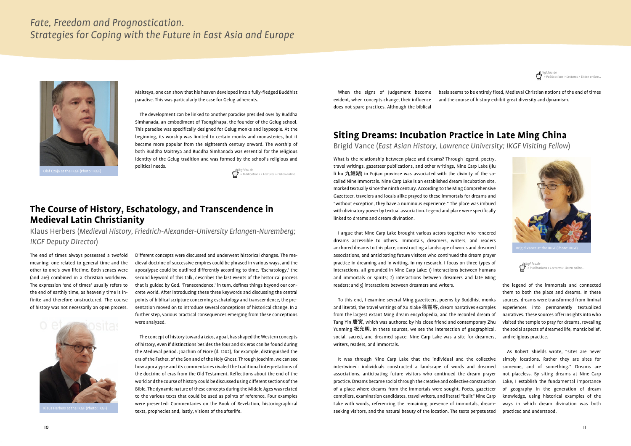

### **The Course of History, Eschatology, and Transcendence in Medieval Latin Christianity**

Klaus Herbers (*Medieval History, Friedrich-Alexander-University Erlangen-Nuremberg; IKGF Deputy Director*)

The end of times always possessed a twofold meaning: one related to general time and the other to one's own lifetime. Both senses were (and are) combined in a Christian worldview. The expression 'end of times' usually refers to the end of earthly time, as heavenly time is infinite and therefore unstructured. The course of history was not necessarily an open process.



*ikgf.fau.de > Publications > Lectures > Listen online…*



Different concepts were discussed and underwent historical changes. The medieval doctrine of successive empires could be phrased in various ways, and the apocalypse could be outlined differently according to time. 'Eschatology,' the second keyword of this talk, describes the last events of the historical process that is guided by God. 'Transcendence,' in turn, defines things beyond our concrete world. After introducing these three keywords and discussing the central points of biblical scripture concerning eschatology and transcendence, the presentation moved on to introduce several conceptions of historical change. In a further step, various practical consequences emerging from these conceptions were analyzed.

The concept of history toward a *telos*, a goal, has shaped the Western concepts of history, even if distinctions besides the four and six eras can be found during the Medieval period. Joachim of Fiore (d. 1202), for example, distinguished the era of the Father, of the Son and of the Holy Ghost. Through Joachim, we can see how apocalypse and its commentaries rivaled the traditional interpretations of the doctrine of eras from the Old Testament. Reflections about the end of the world and the course of history could be discussed using different sections of the Bible. The dynamic nature of these concepts during the Middle Ages was related to the various texts that could be used as points of reference. Four examples were presented: Commentaries on the Book of Revelation, historiographical texts, prophecies and, lastly, visions of the afterlife.

## **Siting Dreams: Incubation Practice in Late Ming China**

Brigid Vance (*East Asian History, Lawrence University; IKGF Visiting Fellow*)

What is the relationship between place and dreams? Through legend, poetry, travel writings, gazetteer publications, and other writings, Nine Carp Lake (Jiu li hu 九鯉湖) in Fujian province was associated with the divinity of the socalled Nine Immortals. Nine Carp Lake is an established dream incubation site, marked textually since the ninth century. According to the Ming Comprehensive Gazetteer, travelers and locals alike prayed to these immortals for dreams and "without exception, they have a numinous experience." The place was imbued with divinatory power by textual association. Legend and place were specifically linked to dreams and dream divination.

I argue that Nine Carp Lake brought various actors together who rendered dreams accessible to others. Immortals, dreamers, writers, and readers anchored dreams to this place, constructing a landscape of words and dreamed associations, and anticipating future visitors who continued the dream prayer practice in dreaming and in writing. In my research, I focus on three types of interactions, all grounded in Nine Carp Lake: 1) interactions between humans and immortals or spirits; 2) interactions between dreamers and late Ming readers; and 3) interactions between dreamers and writers.

To this end, I examine several Ming gazetteers, poems by Buddhist monks and literati, the travel writings of Xu Xiake 徐霞客, dream narratives examples from the largest extant Ming dream encyclopedia, and the recorded dream of Tang Yin 唐寅, which was authored by his close friend and contemporary Zhu Yunming 祝允明. In these sources, we see the intersection of geographical, social, sacred, and dreamed space. Nine Carp Lake was a site for dreamers, writers, readers, and immortals.

It was through Nine Carp Lake that the individual and the collective intertwined: individuals constructed a landscape of words and dreamed associations, anticipating future visitors who continued the dream prayer practice. Dreams became social through the creative and collective construction of a place where dreams from the immortals were sought. Poets, gazetteer compilers, examination candidates, travel writers, and literati "built" Nine Carp Lake with words, referencing the remaining presence of immortals, dreamseeking visitors, and the natural beauty of the location. The texts perpetuated

the legend of the immortals and connected them to both the place and dreams. In these sources, dreams were transformed from liminal experiences into permanently textualized narratives. These sources offer insights into who visited the temple to pray for dreams, revealing the social aspects of dreamed life, mantic belief, and religious practice.

As Robert Shields wrote, "sites are never simply locations. Rather they are sites for someone, and of something." Dreams are not placeless. By siting dreams at Nine Carp Lake, I establish the fundamental importance of geography in the generation of dream knowledge, using historical examples of the ways in which dream divination was both practiced and understood.

*ikgf.fau.de > Publications > Lectures > Listen online…* Olaf Czaja at the IKGF (Photo: IKGF)

Maitreya, one can show that his heaven developed into a fully-fledged Buddhist paradise. This was particularly the case for Gelug adherents.

The development can be linked to another paradise presided over by Buddha Simhanada, an embodiment of Tsongkhapa, the founder of the Gelug school. This paradise was specifically designed for Gelug monks and laypeople. At the beginning, its worship was limited to certain monks and monasteries, but it became more popular from the eighteenth century onward. The worship of both Buddha Maitreya and Buddha Simhanada was essential for the religious identity of the Gelug tradition and was formed by the school's religious and political needs.

When the signs of Judgement become evident, when concepts change, their influence does not spare practices. Although the biblical

basis seems to be entirely fixed, Medieval Christian notions of the end of times and the course of history exhibit great diversity and dynamism.

*ikgf.fau.de > Publications > Lectures > Listen online…*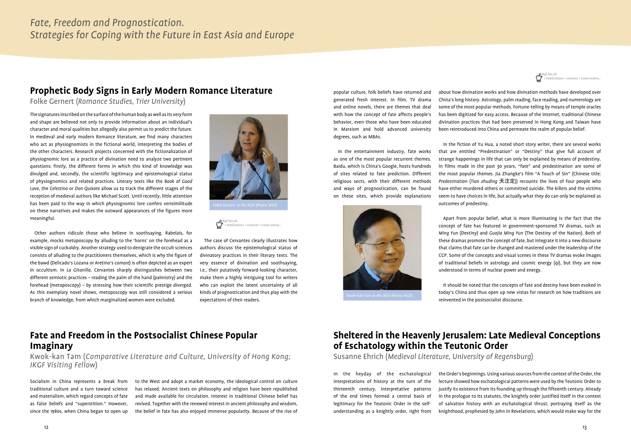

The signatures inscribed on the surface of the human body as well as its very form and shape are believed not only to provide information about an individual's character and moral qualities but allegedly also permit us to predict the future. In medieval and early modern Romance literature, we find many characters who act as physiognomists in the fictional world, interpreting the bodies of the other characters. Research projects concerned with the fictionalization of physiognomic lore as a practice of divination need to analyze two pertinent questions: firstly, the different forms in which this kind of knowledge was divulged and, secondly, the scientific legitimacy and epistemological status of physiognomics and related practices. Literary texts like the *Book of Good Love*, the *Celestina* or *Don Quixote* allow us to track the different stages of the reception of medieval authors like Michael Scott. Until recently, little attention has been paid to the way in which physiognomic lore confers verisimilitude on these narratives and makes the outward appearances of the figures more meaningful.

Other authors ridicule those who believe in soothsaying. Rabelais, for example, mocks metoposcopy by alluding to the 'horns' on the forehead as a visible sign of cuckoldry. Another strategy used to denigrate the occult sciences consists of alluding to the practitioners themselves, which is why the figure of the bawd (Delicado's Lozana or Aretino's *comare*) is often depicted as an expert in occultism. In *La Gitanilla,* Cervantes sharply distinguishes between two different semiotic practices – reading the palm of the hand (palmistry) and the forehead (metoposcopy) – by stressing how their scientific prestige diverged. As this exemplary novel shows, metoposcopy was still considered a serious branch of knowledge, from which marginalized women were excluded.



## **Prophetic Body Signs in Early Modern Romance Literature**

Folke Gernert (*Romance Studies, Trier University*)

The case of Cervantes clearly illustrates how authors discuss the epistemological status of divinatory practices in their literary texts. The very essence of divination and soothsaying, i.e., their putatively forward-looking character, make them a highly intriguing tool for writers who can exploit the latent uncertainty of all kinds of prognostication and thus play with the expectations of their readers.

# **Fate and Freedom in the Postsocialist Chinese Popular Imaginary**

Kwok-kan Tam (*Comparative Literature and Culture, University of Hong Kong; IKGF Visiting Fellow*)

Socialism in China represents a break from traditional culture and a turn toward science and materialism, which regard concepts of fate as false beliefs and "superstition." However, since the 1980s, when China began to open up to the West and adopt a market economy, the ideological control on culture has relaxed. Ancient texts on philosophy and religion have been republished and made available for circulation. Interest in traditional Chinese belief has revived. Together with the renewed interest in ancient philosophy and wisdom, the belief in fate has also enjoyed immense popularity. Because of the rise of



popular culture, folk beliefs have returned and generated fresh interest. In film, TV drama and online novels, there are themes that deal with how the concept of fate affects people's behavior, even those who have been educated in Marxism and hold advanced university degrees, such as MBAs.

In the entertainment industry, fate works as one of the most popular recurrent themes. Baidu, which is China's Google, hosts hundreds of sites related to fate prediction. Different religious sects, with their different methods and ways of prognostication, can be found on these sites, which provide explanations



about how divination works and how divination methods have developed over China's long history. Astrology, palm reading, face reading, and numerology are some of the most popular methods. Fortune-telling by means of temple oracles has been digitized for easy access. Because of the Internet, traditional Chinese divination practices that had been preserved in Hong Kong and Taiwan have been reintroduced into China and permeate the realm of popular belief.

In the fiction of Yu Hua, a noted short story writer, there are several works that are entitled "Predestination" or "Destiny" that give full account of strange happenings in life that can only be explained by means of predestiny. In films made in the past 30 years, "fate" and predestination are some of the most popular themes. Jia Zhangke's film "A Touch of Sin" (Chinese title: *Predestination* (*Tian zhuding* 天注定)) recounts the lives of four people who have either murdered others or committed suicide. The killers and the victims seem to have choices in life, but actually what they do can only be explained as outcomes of predestiny.

Apart from popular belief, what is more illuminating is the fact that the concept of fate has featured in government-sponsored TV dramas, such as *Ming Yun* (Destiny) and *Guojia Ming Yun* (The Destiny of the Nation). Both of these dramas promote the concept of fate, but integrate it into a new discourse that claims that fate can be changed and mastered under the leadership of the CCP. Some of the concepts and visual scenes in these TV dramas evoke images of traditional beliefs in astrology and cosmic energy (qi), but they are now understood in terms of nuclear power and energy.

It should be noted that the concepts of fate and destiny have been evoked in today's China and thus open up new vistas for research on how traditions are reinvented in the postsocialist discourse.

# **Sheltered in the Heavenly Jerusalem: Late Medieval Conceptions of Eschatology within the Teutonic Order**

Susanne Ehrich (*Medieval Literature, University of Regensburg*)

In the heyday of the eschatological interpretations of history at the turn of the thirteenth century, interpretative patterns of the end times formed a central basis of legitimacy for the Teutonic Order in the selfunderstanding as a knightly order, right from the Order's beginnings. Using various sources from the context of the Order, the lecture showed how eschatological patterns were used by the Teutonic Order to justify its existence from its founding up through the fifteenth century. Already in the prologue to its statutes, the knightly order justified itself in the context of salvation history with an eschatological thrust, portraying itself as the knighthood, prophesied by John in Revelations, which would make way for the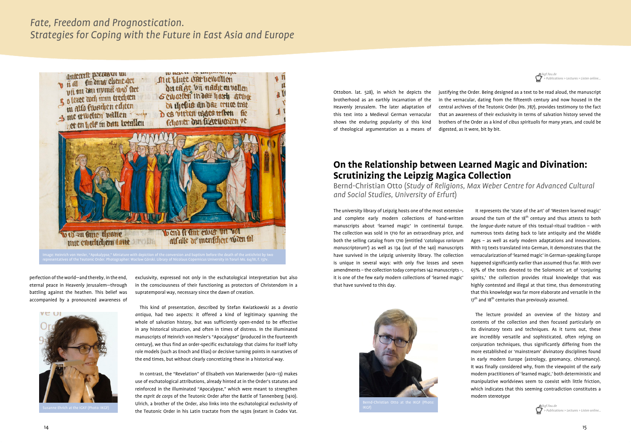



perfection of the world—and thereby, in the end, eternal peace in Heavenly Jerusalem—through battling against the heathen. This belief was accompanied by a pronounced awareness of



exclusivity, expressed not only in the eschatological interpretation but also in the consciousness of their functioning as protectors of Christendom in a supratemporal way, necessary since the dawn of creation.

This kind of presentation, described by Stefan Kwiatkowski as a *devotio antiqua*, had two aspects: it offered a kind of legitimacy spanning the whole of salvation history, but was sufficiently open-ended to be effective in any historical situation, and often in times of distress. In the illuminated manuscripts of Heinrich von Hesler's "Apocalypse" (produced in the fourteenth century), we thus find an order-specific eschatology that claims for itself lofty role models (such as Enoch and Elias) or decisive turning points in narratives of the end times, but without clearly concretizing these in a historical way.

In contrast, the "Revelation" of Elisabeth von Marienwerder (1410–13) makes use of eschatological attributions, already hinted at in the Order's statutes and reinforced in the illuminated "Apocalypse," which were meant to strengthen the *esprit de corps* of the Teutonic Order after the Battle of Tannenberg (1410). Ulrich, a brother of the Order, also links into the eschatological exclusivity of the Teutonic Order in his Latin tractate from the 1430s (extant in Codex Vat.

It represents the 'state of the art' of 'Western learned magic' around the turn of the  $18<sup>th</sup>$  century and thus attests to both the *longue-durée* nature of this textual-ritual tradition – with numerous texts dating back to late antiquity and the Middle Ages – as well as early modern adaptations and innovations. With 113 texts translated into German, it demonstrates that the vernacularization of 'learned magic' in German-speaking Europe happened significantly earlier than assumed thus far. With over 65% of the texts devoted to the Solomonic art of 'conjuring spirits,' the collection provides ritual knowledge that was highly contested and illegal at that time, thus demonstrating that this knowledge was far more elaborate and versatile in the 17<sup>th</sup> and 18<sup>th</sup> centuries than previously assumed.



# **On the Relationship between Learned Magic and Divination: Scrutinizing the Leipzig Magica Collection**

Bernd-Christian Otto (*Study of Religions, Max Weber Centre for Advanced Cultural and Social Studies, University of Erfurt*)

The university library of Leipzig hosts one of the most extensive and complete early modern collections of hand-written manuscripts about 'learned magic' in continental Europe. The collection was sold in 1710 for an extraordinary price, and both the selling catalog from 1710 (entitled '*catalogus rariorum manuscriptorum*') as well as 134 (out of the 140) manuscripts have survived in the Leipzig university library. The collection is unique in several ways: with only five losses and seven amendments – the collection today comprises 142 manuscripts –, it is one of the few early modern collections of 'learned magic' that have survived to this day.

IKGF) *ikgf.fau.de*



Ottobon. lat. 528), in which he depicts the brotherhood as an earthly incarnation of the Heavenly Jerusalem. The later adaptation of this text into a Medieval German vernacular shows the enduring popularity of this kind of theological argumentation as a means of

> The lecture provided an overview of the history and contents of the collection and then focused particularly on its divinatory texts and techniques. As it turns out, these are incredibly versatile and sophisticated, often relying on conjuration techniques, thus significantly differing from the more established or 'mainstream' divinatory disciplines found in early modern Europe (astrology, geomancy, chiromancy). It was finally considered why, from the viewpoint of the early modern practitioners of 'learned magic,' both deterministic and manipulative worldviews seem to coexist with little friction, which indicates that this seeming contradiction constitutes a modern stereotype

justifying the Order. Being designed as a text to be read aloud, the manuscript in the vernacular, dating from the fifteenth century and now housed in the central archives of the Teutonic Order (Hs. 787), provides testimony to the fact that an awareness of their exclusivity in terms of salvation history served the brothers of the Order as a kind of *cibus spiritualis* for many years, and could be digested, as it were, bit by bit.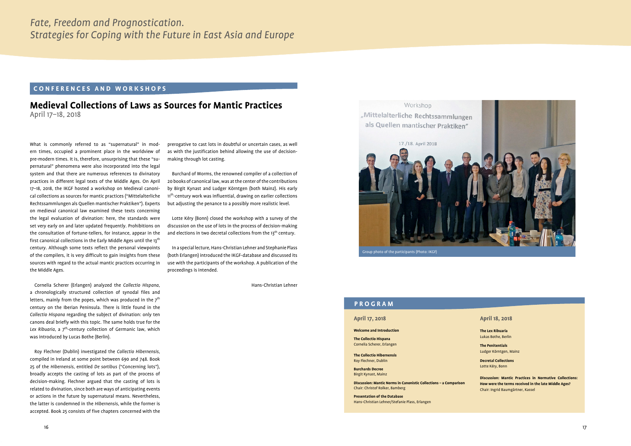What is commonly referred to as "supernatural" in modern times, occupied a prominent place in the worldview of pre-modern times. It is, therefore, unsurprising that these "supernatural" phenomena were also incorporated into the legal system and that there are numerous references to divinatory practices in different legal texts of the Middle Ages. On April 17–18, 2018, the IKGF hosted a workshop on Medieval canonical collections as sources for mantic practices ("Mittelalterliche Rechtssammlungen als Quellen mantischer Praktiken"). Experts on medieval canonical law examined these texts concerning the legal evaluation of divination: here, the standards were set very early on and later updated frequently. Prohibitions on the consultation of fortune-tellers, for instance, appear in the first canonical collections in the Early Middle Ages until the 13<sup>th</sup> century. Although some texts reflect the personal viewpoints of the compilers, it is very difficult to gain insights from these sources with regard to the actual mantic practices occurring in the Middle Ages.

Cornelia Scherer (Erlangen) analyzed the *Collectio Hispana*, a chronologically structured collection of synodal files and letters, mainly from the popes, which was produced in the  $7<sup>th</sup>$ century on the Iberian Peninsula. There is little found in the *Collectio Hispana* regarding the subject of divination: only ten canons deal briefly with this topic. The same holds true for the Lex Ribuaria, a 7<sup>th</sup>-century collection of Germanic law, which was introduced by Lucas Bothe (Berlin).

Lotte Kéry (Bonn) closed the workshop with a survey of the discussion on the use of lots in the process of decision-making and elections in two decretal collections from the  $13<sup>th</sup>$  century.

Roy Flechner (Dublin) investigated the *Collectio Hibernensis*, compiled in Ireland at some point between 690 and 748. Book 25 of the *Hibernensis*, entitled *De sortibus* ("Concerning lots"), broadly accepts the casting of lots as part of the process of decision-making. Flechner argued that the casting of lots is related to divination, since both are ways of anticipating events or actions in the future by supernatural means. Nevertheless, the latter is condemned in the *Hibernensis*, while the former is accepted. Book 25 consists of five chapters concerned with the

#### **CONFERENCES AND WORKSHOPS**

#### **Medieval Collections of Laws as Sources for Mantic Practices**  April 17–18, 2018

Group photo of the participants (Photo: IKGF)

#### **PROGRAM**

#### **April 17, 2018**

#### **Welcome and Introduction**

**The Collectio Hispana** Cornelia Scherer, Erlangen

**The Collectio Hibernensis** Roy Flechner, Dublin

**Burchards Decree** Birgit Kynast, Mainz

**Discussion: Mantic Norms in Canonistic Collections – a Comparison** Chair: Christof Rolker, Bamberg

**Presentation of the Database** Hans-Christian Lehner/Stefanie Plass, Erlangen

#### **April 18, 2018**

**The Lex Ribuaria** Lukas Bothe, Berlin

**The Penitentials** Ludger Körntgen, Mainz

**Decretal Collections** Lotte Kéry, Bonn

**Discussion: Mantic Practices in Normative Collections: How were the terms received in the late Middle Ages?**  Chair: Ingrid Baumgärtner, Kassel

prerogative to cast lots in doubtful or uncertain cases, as well as with the justification behind allowing the use of decisionmaking through lot casting.

Burchard of Worms, the renowned compiler of a collection of 20 books of canonical law, was at the center of the contributions by Birgit Kynast and Ludger Körntgen (both Mainz). His early 11<sup>th</sup>-century work was influential, drawing on earlier collections but adjusting the penance to a possibly more realistic level.

In a special lecture, Hans-Christian Lehner and Stephanie Plass (both Erlangen) introduced the IKGF-database and discussed its use with the participants of the workshop. A publication of the proceedings is intended.

Hans-Christian Lehner

17./18. April 2018

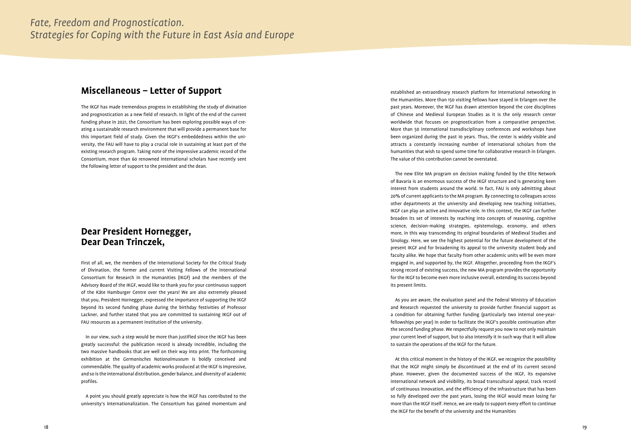The IKGF has made tremendous progress in establishing the study of divination and prognostication as a new field of research. In light of the end of the current funding phase in 2021, the Consortium has been exploring possible ways of cre ating a sustainable research environment that will provide a permanent base for this important field of study. Given the IKGF's embeddedness within the uni versity, the FAU will have to play a crucial role in sustaining at least part of the existing research program. Taking note of the impressive academic record of the Consortium, more than 60 renowned international scholars have recently sent the following letter of support to the president and the dean.

## **Miscellaneous – Letter of Support**

First of all, we, the members of the International Society for the Critical Study of Divination, the former and current Visiting Fellows of the International Consortium for Research in the Humanities (IKGF) and the members of the Advisory Board of the IKGF, would like to thank you for your continuous support of the Käte Hamburger Centre over the years! We are also extremely pleased that you, President Hornegger, expressed the importance of supporting the IKGF beyond its second funding phase during the birthday festivities of Professor Lackner, and further stated that you are committed to sustaining IKGF out of FAU resources as a permanent institution of the university.

In our view, such a step would be more than justified since the IKGF has been greatly successful: the publication record is already incredible, including the two massive handbooks that are well on their way into print. The forthcoming exhibition at the *Germanisches Nationalmuseum* is boldly conceived and commendable. The quality of academic works produced at the IKGF is impressive, and so is the international distribution, gender balance, and diversity of academic profiles.

A point you should greatly appreciate is how the IKGF has contributed to the university's internationalization. The Consortium has gained momentum and

## **Dear President Hornegger, Dear Dean Trinczek,**

established an extraordinary research platform for international networking in the Humanities. More than 150 visiting fellows have stayed in Erlangen over the past years. Moreover, the IKGF has drawn attention beyond the core disciplines of Chinese and Medieval European Studies as it is the only research center worldwide that focuses on prognostication from a comparative perspective. More than 50 international transdisciplinary conferences and workshops have been organized during the past 10 years. Thus, the center is widely visible and attracts a constantly increasing number of international scholars from the humanities that wish to spend some time for collaborative research in Erlangen. The value of this contribution cannot be overstated.

The new Elite MA program on decision making funded by the Elite Network of Bavaria is an enormous success of the IKGF structure and is generating keen interest from students around the world. In fact, FAU is only admitting about 20% of current applicants to the MA program. By connecting to colleagues across other departments at the university and developing new teaching initiatives, IKGF can play an active and innovative role. In this context, the IKGF can further broaden its set of interests by reaching into concepts of reasoning, cognitive science, decision-making strategies, epistemology, economy, and others more, in this way transcending its original boundaries of Medieval Studies and Sinology. Here, we see the highest potential for the future development of the present IKGF and for broadening its appeal to the university student body and faculty alike. We hope that faculty from other academic units will be even more engaged in, and supported by, the IKGF. Altogether, proceeding from the IKGF's strong record of existing success, the new MA program provides the opportunity for the IKGF to become even more inclusive overall, extending its success beyond its present limits.

As you are aware, the evaluation panel and the Federal Ministry of Education and Research requested the university to provide further financial support as a condition for obtaining further funding (particularly two internal one-yearfellowships per year) in order to facilitate the IKGF's possible continuation after the second funding phase. We respectfully request you now to not only maintain your current level of support, but to also intensify it in such way that it will allow to sustain the operations of the IKGF for the future.

At this critical moment in the history of the IKGF, we recognize the possibility that the IKGF might simply be discontinued at the end of its current second phase. However, given the documented success of the IKGF, its expansive international network and visibility, its broad transcultural appeal, track record of continuous innovation, and the efficiency of the infrastructure that has been so fully developed over the past years, losing the IKGF would mean losing far more than the IKGF itself. Hence, we are ready to support every effort to continue the IKGF for the benefit of the university and the Humanities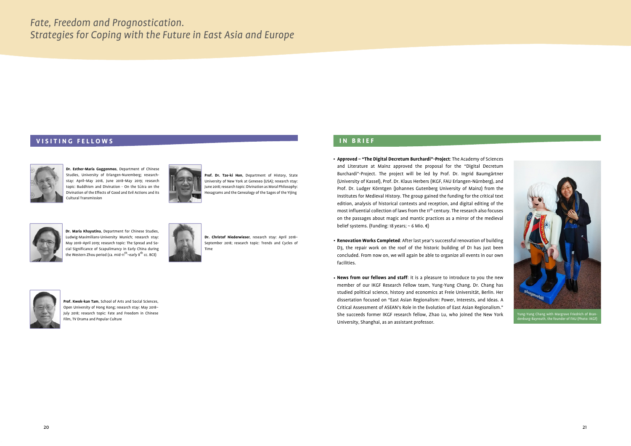

1g-Yung Chang with Margrave Friedrich of Brar urg-Bayreuth, the founder of FAU (Photo: IKGF

# **IN BRIEF**

- **Approved "The Digital Decretum Burchardi"-Project**: The Academy of Sciences and Literature at Mainz approved the proposal for the "Digital Decretum Burchardi"-Project. The project will be led by Prof. Dr. Ingrid Baumgärtner (University of Kassel), Prof. Dr. Klaus Herbers (IKGF, FAU Erlangen-Nürnberg), and Prof. Dr. Ludger Körntgen (Johannes Gutenberg University of Mainz) from the Institutes for Medieval History. The group gained the funding for the critical text edition, analysis of historical contexts and reception, and digital editing of the most influential collection of laws from the 11<sup>th</sup> century. The research also focuses on the passages about magic and mantic practices as a mirror of the medieval belief systems. (Funding: 18 years;  $\sim$  6 Mio.  $\notin$ )
- **Renovation Works Completed**: After last year's successful renovation of building D3, the repair work on the roof of the historic building of D1 has just been concluded. From now on, we will again be able to organize all events in our own facilities.
- **News from our fellows and staff**: it is a pleasure to introduce to you the new member of our IKGF Research Fellow team, Yung-Yung Chang. Dr. Chang has studied political science, history and economics at Freie Universität, Berlin. Her dissertation focused on "East Asian Regionalism: Power, Interests, and Ideas. A Critical Assessment of ASEAN's Role in the Evolution of East Asian Regionalism." She succeeds former IKGF research fellow, Zhao Lu, who joined the New York University, Shanghai, as an assistant professor.

**Dr. Maria Khayutina**, Department for Chinese Studies, Ludwig-Maximilians-University Munich; research stay: May 2018–April 2019; research topic: The Spread and Social Significance of Scapulimancy in Early China during the Western Zhou period (ca. mid-11<sup>th</sup>–early 8<sup>th</sup> cc. BCE)



#### **VISITING FELLOWS**



**Dr. Esther-Maria Guggenmos**, Department of Chinese Studies, University of Erlangen-Nuremberg; researchstay: April–May 2018, June 2018–May 2019; research topic: Buddhism and Divination - On the Sūtra on the Divination of the Effects of Good and Evil Actions and its Cultural Transmission



**Prof. Dr. Tze-ki Hon**, Department of History, State University of New York at Geneseo (USA); research stay: June 2018; research topic: Divination as Moral Philosophy: Hexagrams and the Genealogy of the Sages of the Yijing



**Dr. Christof Niederwieser**, research stay: April 2018– September 2018; research topic: Trends and Cycles of Time

**Prof. Kwok-kan Tam**, School of Arts and Social Sciences, Open University of Hong Kong; research stay: May 2018– July 2018; research topic: Fate and Freedom in Chinese Film, TV Drama and Popular Culture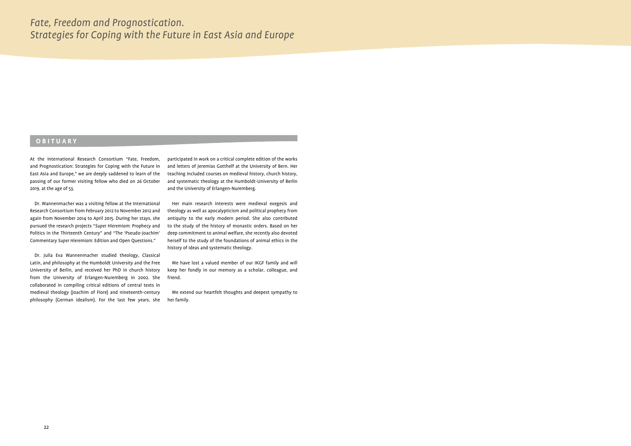At the International Research Consortium "Fate, Freedom, and Prognostication: Strategies for Coping with the Future in East Asia and Europe," we are deeply saddened to learn of the passing of our former visiting fellow who died on 26 October 2019, at the age of 53.

Dr. Wannenmacher was a visiting fellow at the International Research Consortium from February 2012 to November 2012 and again from November 2014 to April 2015. During her stays, she pursued the research projects "*Super Hieremiam*: Prophecy and Politics in the Thirteenth Century" and "The 'Pseudo-Joachim' Commentary *Super Hieremiam*: Edition and Open Questions."

Dr. Julia Eva Wannenmacher studied theology, Classical Latin, and philosophy at the Humboldt University and the Free University of Berlin, and received her PhD in church history from the University of Erlangen-Nuremberg in 2002. She collaborated in compiling critical editions of central texts in medieval theology (Joachim of Fiore) and nineteenth-century philosophy (German idealism). For the last few years, she

#### **OBITUARY**

participated in work on a critical complete edition of the works and letters of Jeremias Gotthelf at the University of Bern. Her teaching included courses on medieval history, church history, and systematic theology at the Humboldt-University of Berlin and the University of Erlangen-Nuremberg.

Her main research interests were medieval exegesis and theology as well as apocalypticism and political prophecy from antiquity to the early modern period. She also contributed to the study of the history of monastic orders. Based on her deep commitment to animal welfare, she recently also devoted herself to the study of the foundations of animal ethics in the history of ideas and systematic theology.

We have lost a valued member of our IKGF family and will keep her fondly in our memory as a scholar, colleague, and friend.

We extend our heartfelt thoughts and deepest sympathy to her family.